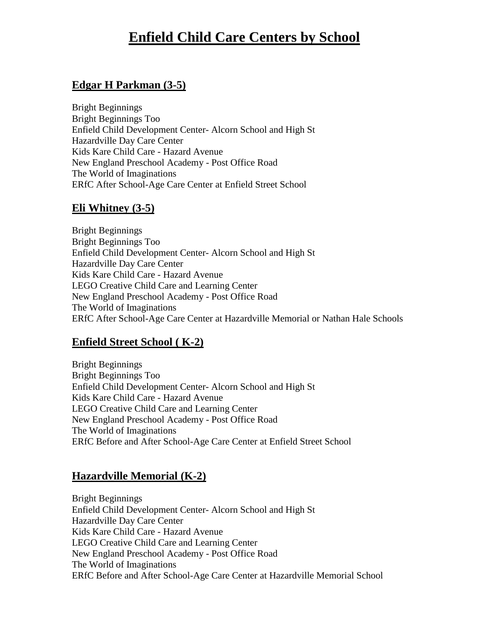# **Enfield Child Care Centers by School**

#### **Edgar H Parkman (3-5)**

Bright Beginnings Bright Beginnings Too Enfield Child Development Center- Alcorn School and High St Hazardville Day Care Center Kids Kare Child Care - Hazard Avenue New England Preschool Academy - Post Office Road The World of Imaginations ERfC After School-Age Care Center at Enfield Street School

#### **Eli Whitney (3-5)**

Bright Beginnings Bright Beginnings Too Enfield Child Development Center- Alcorn School and High St Hazardville Day Care Center Kids Kare Child Care - Hazard Avenue LEGO Creative Child Care and Learning Center New England Preschool Academy - Post Office Road The World of Imaginations ERfC After School-Age Care Center at Hazardville Memorial or Nathan Hale Schools

#### **Enfield Street School ( K-2)**

Bright Beginnings Bright Beginnings Too Enfield Child Development Center- Alcorn School and High St Kids Kare Child Care - Hazard Avenue LEGO Creative Child Care and Learning Center New England Preschool Academy - Post Office Road The World of Imaginations ERfC Before and After School-Age Care Center at Enfield Street School

## **Hazardville Memorial (K-2)**

Bright Beginnings Enfield Child Development Center- Alcorn School and High St Hazardville Day Care Center Kids Kare Child Care - Hazard Avenue LEGO Creative Child Care and Learning Center New England Preschool Academy - Post Office Road The World of Imaginations ERfC Before and After School-Age Care Center at Hazardville Memorial School